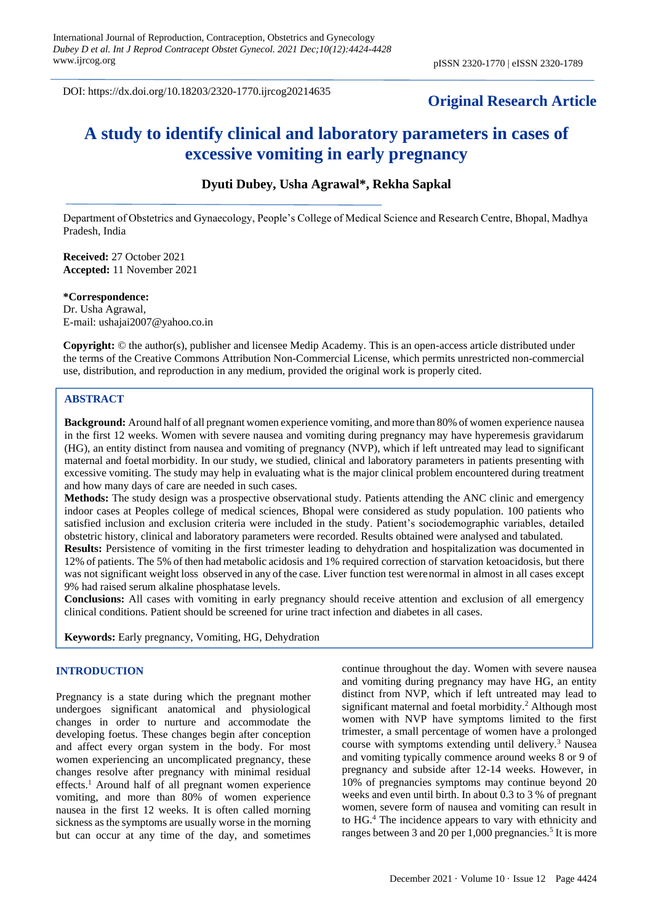DOI: https://dx.doi.org/10.18203/2320-1770.ijrcog20214635

# **Original Research Article**

# **A study to identify clinical and laboratory parameters in cases of excessive vomiting in early pregnancy**

# **Dyuti Dubey, Usha Agrawal\*, Rekha Sapkal**

Department of Obstetrics and Gynaecology, People's College of Medical Science and Research Centre, Bhopal, Madhya Pradesh, India

**Received:** 27 October 2021 **Accepted:** 11 November 2021

**\*Correspondence:**

Dr. Usha Agrawal, E-mail: ushajai2007@yahoo.co.in

**Copyright:** © the author(s), publisher and licensee Medip Academy. This is an open-access article distributed under the terms of the Creative Commons Attribution Non-Commercial License, which permits unrestricted non-commercial use, distribution, and reproduction in any medium, provided the original work is properly cited.

# **ABSTRACT**

**Background:** Around half of all pregnant women experience vomiting, and more than 80% of women experience nausea in the first 12 weeks. Women with severe nausea and vomiting during pregnancy may have hyperemesis gravidarum (HG), an entity distinct from nausea and vomiting of pregnancy (NVP), which if left untreated may lead to significant maternal and foetal morbidity. In our study, we studied, clinical and laboratory parameters in patients presenting with excessive vomiting. The study may help in evaluating what is the major clinical problem encountered during treatment and how many days of care are needed in such cases.

**Methods:** The study design was a prospective observational study. Patients attending the ANC clinic and emergency indoor cases at Peoples college of medical sciences, Bhopal were considered as study population. 100 patients who satisfied inclusion and exclusion criteria were included in the study. Patient's sociodemographic variables, detailed obstetric history, clinical and laboratory parameters were recorded. Results obtained were analysed and tabulated.

**Results:** Persistence of vomiting in the first trimester leading to dehydration and hospitalization was documented in 12% of patients. The 5% of then had metabolic acidosis and 1% required correction of starvation ketoacidosis, but there was not significant weight loss observed in any of the case. Liver function test werenormal in almost in all cases except 9% had raised serum alkaline phosphatase levels.

**Conclusions:** All cases with vomiting in early pregnancy should receive attention and exclusion of all emergency clinical conditions. Patient should be screened for urine tract infection and diabetes in all cases.

**Keywords:** Early pregnancy, Vomiting, HG, Dehydration

# **INTRODUCTION**

Pregnancy is a state during which the pregnant mother undergoes significant anatomical and physiological changes in order to nurture and accommodate the developing foetus. These changes begin after conception and affect every organ system in the body. For most women experiencing an uncomplicated pregnancy, these changes resolve after pregnancy with minimal residual effects.<sup>1</sup> Around half of all pregnant women experience vomiting, and more than 80% of women experience nausea in the first 12 weeks. It is often called morning sickness as the symptoms are usually worse in the morning but can occur at any time of the day, and sometimes continue throughout the day. Women with severe nausea and vomiting during pregnancy may have HG, an entity distinct from NVP, which if left untreated may lead to significant maternal and foetal morbidity.<sup>2</sup> Although most women with NVP have symptoms limited to the first trimester, a small percentage of women have a prolonged course with symptoms extending until delivery.<sup>3</sup> Nausea and vomiting typically commence around weeks 8 or 9 of pregnancy and subside after 12-14 weeks. However, in 10% of pregnancies symptoms may continue beyond 20 weeks and even until birth. In about 0.3 to 3 % of pregnant women, severe form of nausea and vomiting can result in to HG.<sup>4</sup> The incidence appears to vary with ethnicity and ranges between 3 and 20 per 1,000 pregnancies.<sup>5</sup> It is more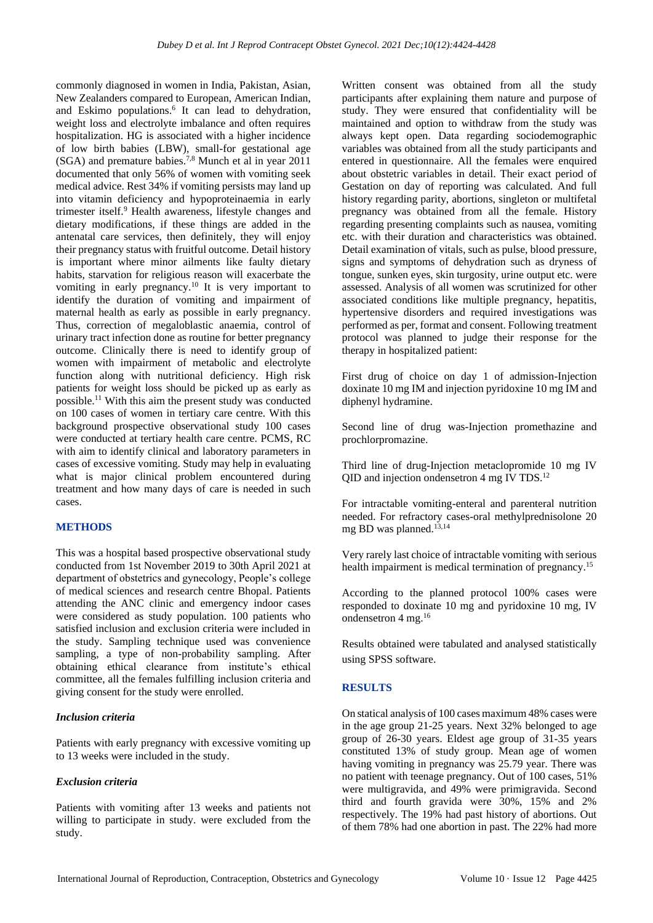commonly diagnosed in women in India, Pakistan, Asian, New Zealanders compared to European, American Indian, and Eskimo populations.<sup>6</sup> It can lead to dehydration, weight loss and electrolyte imbalance and often requires hospitalization. HG is associated with a higher incidence of low birth babies (LBW), small-for gestational age (SGA) and premature babies.7,8 Munch et al in year 2011 documented that only 56% of women with vomiting seek medical advice. Rest 34% if vomiting persists may land up into vitamin deficiency and hypoproteinaemia in early trimester itself.<sup>9</sup> Health awareness, lifestyle changes and dietary modifications, if these things are added in the antenatal care services, then definitely, they will enjoy their pregnancy status with fruitful outcome. Detail history is important where minor ailments like faulty dietary habits, starvation for religious reason will exacerbate the vomiting in early pregnancy.<sup>10</sup> It is very important to identify the duration of vomiting and impairment of maternal health as early as possible in early pregnancy. Thus, correction of megaloblastic anaemia, control of urinary tract infection done as routine for better pregnancy outcome. Clinically there is need to identify group of women with impairment of metabolic and electrolyte function along with nutritional deficiency. High risk patients for weight loss should be picked up as early as possible.<sup>11</sup> With this aim the present study was conducted on 100 cases of women in tertiary care centre. With this background prospective observational study 100 cases were conducted at tertiary health care centre. PCMS, RC with aim to identify clinical and laboratory parameters in cases of excessive vomiting. Study may help in evaluating what is major clinical problem encountered during treatment and how many days of care is needed in such cases.

# **METHODS**

This was a hospital based prospective observational study conducted from 1st November 2019 to 30th April 2021 at department of obstetrics and gynecology, People's college of medical sciences and research centre Bhopal. Patients attending the ANC clinic and emergency indoor cases were considered as study population. 100 patients who satisfied inclusion and exclusion criteria were included in the study. Sampling technique used was convenience sampling, a type of non-probability sampling. After obtaining ethical clearance from institute's ethical committee, all the females fulfilling inclusion criteria and giving consent for the study were enrolled.

## *Inclusion criteria*

Patients with early pregnancy with excessive vomiting up to 13 weeks were included in the study.

#### *Exclusion criteria*

Patients with vomiting after 13 weeks and patients not willing to participate in study. were excluded from the study.

Written consent was obtained from all the study participants after explaining them nature and purpose of study. They were ensured that confidentiality will be maintained and option to withdraw from the study was always kept open. Data regarding sociodemographic variables was obtained from all the study participants and entered in questionnaire. All the females were enquired about obstetric variables in detail. Their exact period of Gestation on day of reporting was calculated. And full history regarding parity, abortions, singleton or multifetal pregnancy was obtained from all the female. History regarding presenting complaints such as nausea, vomiting etc. with their duration and characteristics was obtained. Detail examination of vitals, such as pulse, blood pressure, signs and symptoms of dehydration such as dryness of tongue, sunken eyes, skin turgosity, urine output etc. were assessed. Analysis of all women was scrutinized for other associated conditions like multiple pregnancy, hepatitis, hypertensive disorders and required investigations was performed as per, format and consent. Following treatment protocol was planned to judge their response for the therapy in hospitalized patient:

First drug of choice on day 1 of admission-Injection doxinate 10 mg IM and injection pyridoxine 10 mg IM and diphenyl hydramine.

Second line of drug was-Injection promethazine and prochlorpromazine.

Third line of drug-Injection metaclopromide 10 mg IV QID and injection ondensetron 4 mg IV TDS.<sup>12</sup>

For intractable vomiting-enteral and parenteral nutrition needed. For refractory cases-oral methylprednisolone 20 mg BD was planned.<sup>13,14</sup>

Very rarely last choice of intractable vomiting with serious health impairment is medical termination of pregnancy.<sup>15</sup>

According to the planned protocol 100% cases were responded to doxinate 10 mg and pyridoxine 10 mg, IV ondensetron 4 mg.<sup>16</sup>

Results obtained were tabulated and analysed statistically using SPSS software.

#### **RESULTS**

On statical analysis of 100 cases maximum 48% cases were in the age group 21-25 years. Next 32% belonged to age group of 26-30 years. Eldest age group of 31-35 years constituted 13% of study group. Mean age of women having vomiting in pregnancy was 25.79 year. There was no patient with teenage pregnancy. Out of 100 cases, 51% were multigravida, and 49% were primigravida. Second third and fourth gravida were 30%, 15% and 2% respectively. The 19% had past history of abortions. Out of them 78% had one abortion in past. The 22% had more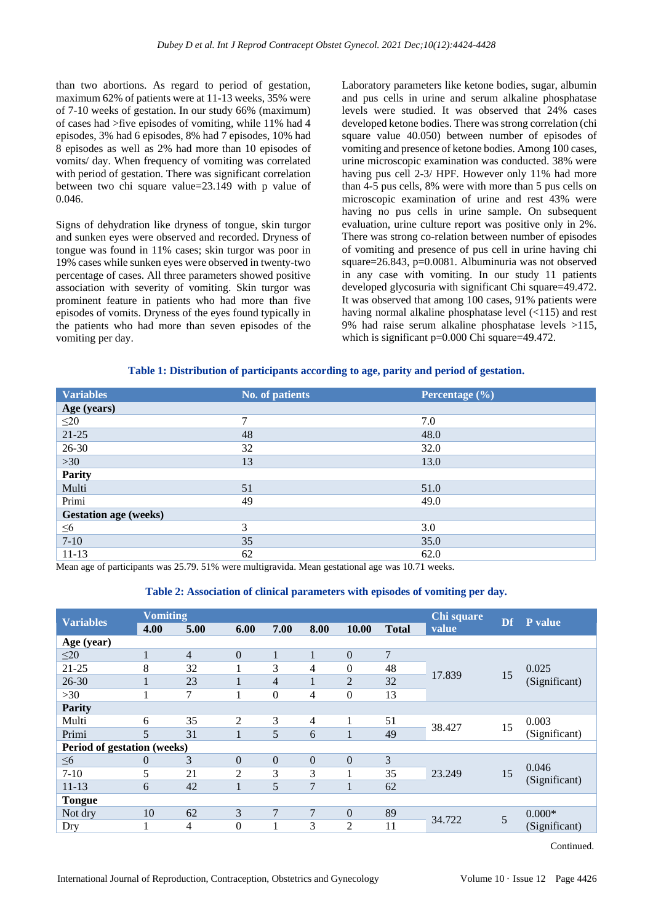than two abortions. As regard to period of gestation, maximum 62% of patients were at 11-13 weeks, 35% were of 7-10 weeks of gestation. In our study 66% (maximum) of cases had >five episodes of vomiting, while 11% had 4 episodes, 3% had 6 episodes, 8% had 7 episodes, 10% had 8 episodes as well as 2% had more than 10 episodes of vomits/ day. When frequency of vomiting was correlated with period of gestation. There was significant correlation between two chi square value=23.149 with p value of 0.046.

Signs of dehydration like dryness of tongue, skin turgor and sunken eyes were observed and recorded. Dryness of tongue was found in 11% cases; skin turgor was poor in 19% cases while sunken eyes were observed in twenty-two percentage of cases. All three parameters showed positive association with severity of vomiting. Skin turgor was prominent feature in patients who had more than five episodes of vomits. Dryness of the eyes found typically in the patients who had more than seven episodes of the vomiting per day.

Laboratory parameters like ketone bodies, sugar, albumin and pus cells in urine and serum alkaline phosphatase levels were studied. It was observed that 24% cases developed ketone bodies. There was strong correlation (chi square value 40.050) between number of episodes of vomiting and presence of ketone bodies. Among 100 cases, urine microscopic examination was conducted. 38% were having pus cell 2-3/ HPF. However only 11% had more than 4-5 pus cells, 8% were with more than 5 pus cells on microscopic examination of urine and rest 43% were having no pus cells in urine sample. On subsequent evaluation, urine culture report was positive only in 2%. There was strong co-relation between number of episodes of vomiting and presence of pus cell in urine having chi square=26.843, p=0.0081. Albuminuria was not observed in any case with vomiting. In our study 11 patients developed glycosuria with significant Chi square=49.472. It was observed that among 100 cases, 91% patients were having normal alkaline phosphatase level (<115) and rest 9% had raise serum alkaline phosphatase levels >115, which is significant p=0.000 Chi square=49.472.

**Table 1: Distribution of participants according to age, parity and period of gestation.**

| <b>Variables</b>             | No. of patients | Percentage $(\% )$ |
|------------------------------|-----------------|--------------------|
| Age (years)                  |                 |                    |
| $\leq$ 20                    | 7               | 7.0                |
| $21-25$                      | 48              | 48.0               |
| 26-30                        | 32              | 32.0               |
| $>30$                        | 13              | 13.0               |
| <b>Parity</b>                |                 |                    |
| Multi                        | 51              | 51.0               |
| Primi                        | 49              | 49.0               |
| <b>Gestation age (weeks)</b> |                 |                    |
| $\leq 6$                     | 3               | 3.0                |
| $7 - 10$                     | 35              | 35.0               |
| $11 - 13$                    | 62              | 62.0               |

Mean age of participants was 25.79. 51% were multigravida. Mean gestational age was 10.71 weeks.

#### **Table 2: Association of clinical parameters with episodes of vomiting per day.**

| <b>Variables</b>            | <b>Vomiting</b> |                |                | Chi square     | <b>Df</b> | P value           |              |        |    |                        |
|-----------------------------|-----------------|----------------|----------------|----------------|-----------|-------------------|--------------|--------|----|------------------------|
|                             | 4.00            | 5.00           | 6.00           | 7.00           | 8.00      | 10.00             | <b>Total</b> | value  |    |                        |
| Age (year)                  |                 |                |                |                |           |                   |              |        |    |                        |
| $\leq$ 20                   | 1               | $\overline{4}$ | $\theta$       | 1              | 1         | $\theta$          | 7            |        | 15 | 0.025<br>(Significant) |
| $21 - 25$                   | 8               | 32             |                | 3              | 4         | $\mathbf{0}$      | 48           |        |    |                        |
| $26 - 30$                   | 1               | 23             |                | $\overline{4}$ | 1         | $\overline{2}$    | 32           | 17.839 |    |                        |
| $>30$                       |                 | 7              |                | $\mathbf{0}$   | 4         | $\overline{0}$    | 13           |        |    |                        |
| <b>Parity</b>               |                 |                |                |                |           |                   |              |        |    |                        |
| Multi                       | 6               | 35             | $\overline{2}$ | 3              | 4         |                   | 51           | 38.427 | 15 | 0.003                  |
| Primi                       | 5               | 31             | $\mathbf{1}$   | 5              | 6         | $\mathbf{1}$      | 49           |        |    | (Significant)          |
| Period of gestation (weeks) |                 |                |                |                |           |                   |              |        |    |                        |
| $\leq 6$                    | $\theta$        | 3              | $\Omega$       | $\theta$       | $\Omega$  | $\theta$          | 3            |        | 15 | 0.046<br>(Significant) |
| $7-10$                      | 5               | 21             | $\overline{2}$ | 3              | 3         |                   | 35           | 23.249 |    |                        |
| $11 - 13$                   | 6               | 42             | 1              | 5              | 7         | $\mathbf{1}$<br>п | 62           |        |    |                        |
| <b>Tongue</b>               |                 |                |                |                |           |                   |              |        |    |                        |
| Not dry                     | 10              | 62             | 3              | 7              | 7         | $\theta$          | 89           | 34.722 | 5  | $0.000*$               |
| Dry                         | 1               | 4              | $\mathbf{0}$   | -              | 3         | 2                 | 11           |        |    | (Significant)          |
|                             |                 |                |                |                |           |                   |              |        |    |                        |

Continued.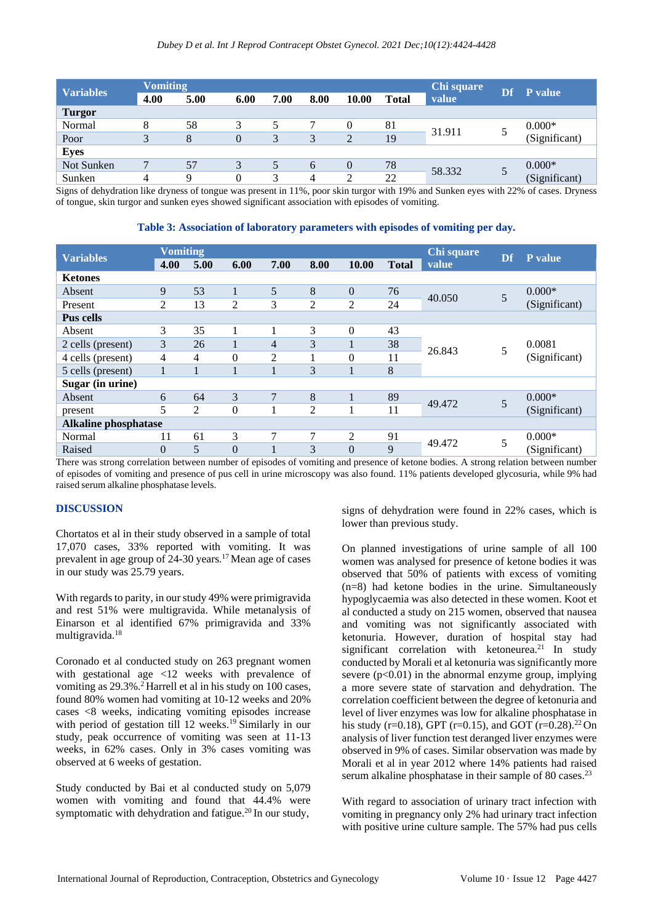| <b>Variables</b> | <b>Vomiting</b> |      |                | Chi square | Df   | P value  |              |        |  |               |
|------------------|-----------------|------|----------------|------------|------|----------|--------------|--------|--|---------------|
|                  | 4.00            | 5.00 | 6.00           | 7.00       | 8.00 | 10.00    | <b>Total</b> | value  |  |               |
| <b>Turgor</b>    |                 |      |                |            |      |          |              |        |  |               |
| Normal           | 8               | 58   | 3              |            |      | 0        | 81           | 31.911 |  | $0.000*$      |
| Poor             | 3               | 8    | $\overline{0}$ | 3          | 3    | 2        | 19           |        |  | (Significant) |
| <b>Eyes</b>      |                 |      |                |            |      |          |              |        |  |               |
| Not Sunken       | 7               | 57   |                | 5          | 6    | $\Omega$ | 78           | 58.332 |  | $0.000*$      |
| Sunken           | 4               | q    | 0              | 3          | 4    | ∍        | 22           |        |  | (Significant) |

Signs of dehydration like dryness of tongue was present in 11%, poor skin turgor with 19% and Sunken eyes with 22% of cases. Dryness of tongue, skin turgor and sunken eyes showed significant association with episodes of vomiting.

**Table 3: Association of laboratory parameters with episodes of vomiting per day.**

| <b>Variables</b>            | <b>Vomiting</b> |      |                |                | Chi square     |          |              |        |    |               |
|-----------------------------|-----------------|------|----------------|----------------|----------------|----------|--------------|--------|----|---------------|
|                             | 4.00            | 5.00 | 6.00           | 7.00           | 8.00           | 10.00    | <b>Total</b> | value  | Df | P value       |
| <b>Ketones</b>              |                 |      |                |                |                |          |              |        |    |               |
| Absent                      | 9               | 53   | 1              | 5              | 8              | $\theta$ | 76           | 40.050 | 5  | $0.000*$      |
| Present                     | 2               | 13   | 2              | 3              | $\overline{2}$ | 2        | 24           |        |    | (Significant) |
| <b>Pus cells</b>            |                 |      |                |                |                |          |              |        |    |               |
| Absent                      | 3               | 35   |                |                | 3              | $\Omega$ | 43           |        | 5  |               |
| 2 cells (present)           | 3               | 26   | 1              | $\overline{4}$ | 3              | л.       | 38           | 26.843 |    | 0.0081        |
| 4 cells (present)           | 4               | 4    | $\overline{0}$ | $\overline{2}$ |                | $\Omega$ | 11           |        |    | (Significant) |
| 5 cells (present)           | 1               |      |                |                | 3              |          | 8            |        |    |               |
| Sugar (in urine)            |                 |      |                |                |                |          |              |        |    |               |
| Absent                      | 6               | 64   | 3              | $\overline{7}$ | 8              |          | 89           | 49.472 | 5  | $0.000*$      |
| present                     | 5               | 2    | $\theta$       | 1              | $\overline{2}$ |          | 11           |        |    | (Significant) |
| <b>Alkaline phosphatase</b> |                 |      |                |                |                |          |              |        |    |               |
| Normal                      | 11              | 61   | 3              | 7              | 7              | 2        | 91           | 49.472 | 5  | $0.000*$      |
| Raised                      | $\Omega$        | 5    | $\theta$       |                | 3              | $\Omega$ | 9            |        |    | (Significant) |

There was strong correlation between number of episodes of vomiting and presence of ketone bodies. A strong relation between number of episodes of vomiting and presence of pus cell in urine microscopy was also found. 11% patients developed glycosuria, while 9% had raised serum alkaline phosphatase levels.

# **DISCUSSION**

Chortatos et al in their study observed in a sample of total 17,070 cases, 33% reported with vomiting. It was prevalent in age group of  $24-30$  years.<sup>17</sup> Mean age of cases in our study was 25.79 years.

With regards to parity, in our study 49% were primigravida and rest 51% were multigravida. While metanalysis of Einarson et al identified 67% primigravida and 33% multigravida.<sup>18</sup>

Coronado et al conducted study on 263 pregnant women with gestational age <12 weeks with prevalence of vomiting as 29.3%.<sup>2</sup> Harrell et al in his study on 100 cases, found 80% women had vomiting at 10-12 weeks and 20% cases <8 weeks, indicating vomiting episodes increase with period of gestation till 12 weeks.<sup>19</sup> Similarly in our study, peak occurrence of vomiting was seen at 11-13 weeks, in 62% cases. Only in 3% cases vomiting was observed at 6 weeks of gestation.

Study conducted by Bai et al conducted study on 5,079 women with vomiting and found that 44.4% were symptomatic with dehydration and fatigue.<sup>20</sup> In our study,

signs of dehydration were found in 22% cases, which is lower than previous study.

On planned investigations of urine sample of all 100 women was analysed for presence of ketone bodies it was observed that 50% of patients with excess of vomiting (n=8) had ketone bodies in the urine. Simultaneously hypoglycaemia was also detected in these women. Koot et al conducted a study on 215 women, observed that nausea and vomiting was not significantly associated with ketonuria. However, duration of hospital stay had significant correlation with ketoneurea.<sup>21</sup> In study conducted by Morali et al ketonuria was significantly more severe  $(p<0.01)$  in the abnormal enzyme group, implying a more severe state of starvation and dehydration. The correlation coefficient between the degree of ketonuria and level of liver enzymes was low for alkaline phosphatase in his study (r=0.18), GPT (r=0.15), and GOT (r=0.28).<sup>22</sup> On analysis of liver function test deranged liver enzymes were observed in 9% of cases. Similar observation was made by Morali et al in year 2012 where 14% patients had raised serum alkaline phosphatase in their sample of 80 cases. $^{23}$ 

With regard to association of urinary tract infection with vomiting in pregnancy only 2% had urinary tract infection with positive urine culture sample. The 57% had pus cells